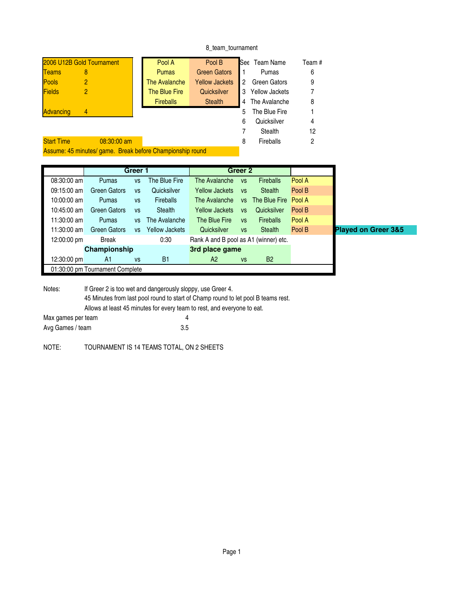## 8\_team\_tournament

| 2006 U12B Gold Tournament |                                                           | Pool A | Pool B           | See                   | Team Name | Team #                |    |
|---------------------------|-----------------------------------------------------------|--------|------------------|-----------------------|-----------|-----------------------|----|
| <b>Teams</b>              | 8                                                         |        | <b>Pumas</b>     | <b>Green Gators</b>   |           | Pumas                 | 6  |
| <b>Pools</b>              | 2                                                         |        | The Avalanche    | <b>Yellow Jackets</b> | 2         | <b>Green Gators</b>   | 9  |
| <b>Fields</b>             |                                                           |        | The Blue Fire    | Quicksilver           | 3         | <b>Yellow Jackets</b> | 7  |
|                           |                                                           |        | <b>Fireballs</b> | <b>Stealth</b>        | 4         | The Avalanche         | 8  |
| <b>Advancing</b>          | 4                                                         |        |                  |                       | 5.        | The Blue Fire         |    |
|                           |                                                           |        |                  |                       | 6         | Quicksilver           | 4  |
|                           |                                                           |        |                  |                       |           | Stealth               | 12 |
| <b>Start Time</b>         | $08:30:00$ am                                             |        |                  |                       | 8         | Fireballs             | 2  |
|                           | Assume: 45 minutes/ game. Break before Championship round |        |                  |                       |           |                       |    |

|               | Greer 1                         |           |                       |                                       | Greer 2   |                  |        |                                |
|---------------|---------------------------------|-----------|-----------------------|---------------------------------------|-----------|------------------|--------|--------------------------------|
| $08:30:00$ am | Pumas                           | <b>VS</b> | The Blue Fire         | The Avalanche                         | <b>VS</b> | <b>Fireballs</b> | Pool A |                                |
| $09:15:00$ am | <b>Green Gators</b>             | <b>VS</b> | Quicksilver           | <b>Yellow Jackets</b>                 | <b>VS</b> | Stealth          | Pool B |                                |
| $10:00:00$ am | Pumas                           | <b>VS</b> | <b>Fireballs</b>      | The Avalanche                         | <b>VS</b> | The Blue Fire    | Pool A |                                |
| 10:45:00 am   | <b>Green Gators</b>             | <b>VS</b> | Stealth               | <b>Yellow Jackets</b>                 | <b>VS</b> | Quicksilver      | Pool B |                                |
| $11:30:00$ am | Pumas                           | <b>VS</b> | The Avalanche         | The Blue Fire                         | <b>VS</b> | <b>Fireballs</b> | Pool A |                                |
| $11:30:00$ am | <b>Green Gators</b>             | <b>VS</b> | <b>Yellow Jackets</b> | Quicksilver                           | <b>VS</b> | <b>Stealth</b>   | Pool B | <b>Played on Greer 3&amp;5</b> |
| 12:00:00 pm   | <b>Break</b>                    |           | 0:30                  | Rank A and B pool as A1 (winner) etc. |           |                  |        |                                |
|               | Championship                    |           |                       | 3rd place game                        |           |                  |        |                                |
| 12:30:00 pm   | A1                              | <b>VS</b> | <b>B1</b>             | A2                                    | <b>VS</b> | <b>B2</b>        |        |                                |
|               | 01:30:00 pm Tournament Complete |           |                       |                                       |           |                  |        |                                |

Notes: If Greer 2 is too wet and dangerously sloppy, use Greer 4. 45 Minutes from last pool round to start of Champ round to let pool B teams rest. Allows at least 45 minutes for every team to rest, and everyone to eat. Max games per team 4 Avg Games / team 3.5

NOTE: TOURNAMENT IS 14 TEAMS TOTAL, ON 2 SHEETS